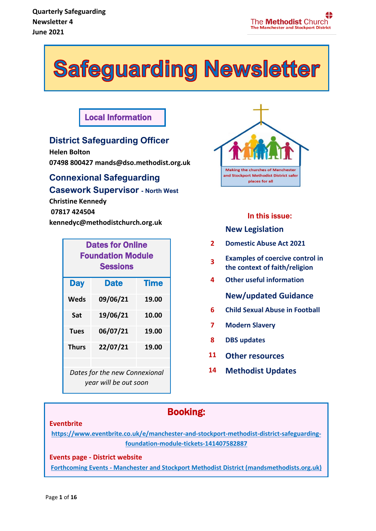# Safeguarding Newsletter

### Local Information

#### **District Safeguarding Officer**

**Helen Bolton 07498 800427 mands@dso.methodist.org.uk** 

### **Connexional Safeguarding Casework Supervisor - North West**

**Christine Kennedy 07817 424504 kennedyc@methodistchurch.org.uk**

| <b>Dates for Online</b><br><b>Foundation Module</b><br><b>Sessions</b> |             |             |  |
|------------------------------------------------------------------------|-------------|-------------|--|
| <b>Day</b>                                                             | <b>Date</b> | <b>Time</b> |  |
| Weds                                                                   | 09/06/21    | 19.00       |  |
| Sat                                                                    | 19/06/21    | 10.00       |  |
| Tues                                                                   | 06/07/21    | 19.00       |  |
| <b>Thurs</b>                                                           | 22/07/21    | 19.00       |  |
|                                                                        |             |             |  |

*Dates for the new Connexional year will be out soon*



### **In this issue:**

#### **New Legislation**

- **2 Domestic Abuse Act 2021**
- **3 Examples of coercive control in the context of faith/religion**
- **4 Other useful information**

#### **New/updated Guidance**

- **6 Child Sexual Abuse in Football**
- **7 Modern Slavery**
- **8 DBS updates**
- **11 Other resources**
- **14 Methodist Updates**

### Booking:

#### **Eventbrite**

**[https://www.eventbrite.co.uk/e/manchester-and-stockport-methodist-district-safeguarding](https://www.eventbrite.co.uk/e/manchester-and-stockport-methodist-district-safeguarding-foundation-module-tickets-141407582887)[foundation-module-tickets-141407582887](https://www.eventbrite.co.uk/e/manchester-and-stockport-methodist-district-safeguarding-foundation-module-tickets-141407582887)**

#### **Events page - District website**

**Forthcoming Events - [Manchester and Stockport Methodist District \(mandsmethodists.org.uk\)](https://www.mandsmethodists.org.uk/events.html)**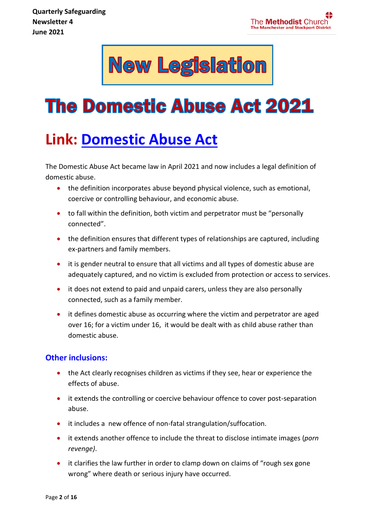

# **The Domestic Abuse Act 2021**

# **Link: [Domestic Abuse Act](http://email.nspcc.org.uk/c/1cBZHQFEEToIGsIfQqWOdpTQGW)**

The Domestic Abuse Act became law in April 2021 and now includes a legal definition of domestic abuse.

- the definition incorporates abuse beyond physical violence, such as emotional, coercive or controlling behaviour, and economic abuse.
- to fall within the definition, both victim and perpetrator must be "personally connected".
- the definition ensures that different types of relationships are captured, including ex-partners and family members.
- it is gender neutral to ensure that all victims and all types of domestic abuse are adequately captured, and no victim is excluded from protection or access to services.
- it does not extend to paid and unpaid carers, unless they are also personally connected, such as a family member.
- it defines domestic abuse as occurring where the victim and perpetrator are aged over 16; for a victim under 16, it would be dealt with as child abuse rather than domestic abuse.

#### **Other inclusions:**

- the Act clearly recognises children as victims if they see, hear or experience the effects of abuse.
- it extends the controlling or coercive behaviour offence to cover post-separation abuse.
- it includes a new offence of non-fatal strangulation/suffocation.
- it extends another offence to include the threat to disclose intimate images (*porn revenge)*.
- it clarifies the law further in order to clamp down on claims of "rough sex gone wrong" where death or serious injury have occurred.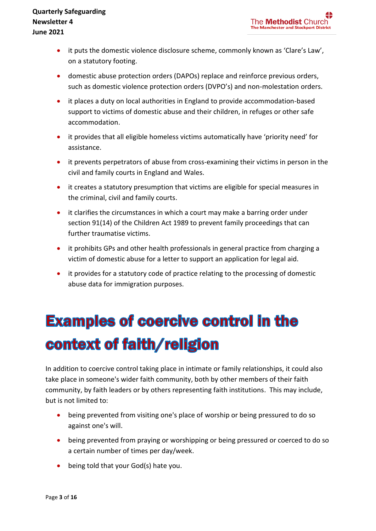- it puts the domestic violence disclosure scheme, commonly known as 'Clare's Law', on a statutory footing.
- domestic abuse protection orders (DAPOs) replace and reinforce previous orders, such as domestic violence protection orders (DVPO's) and non-molestation orders.
- it places a duty on local authorities in England to provide accommodation-based support to victims of domestic abuse and their children, in refuges or other safe accommodation.
- it provides that all eligible homeless victims automatically have 'priority need' for assistance.
- it prevents perpetrators of abuse from cross-examining their victims in person in the civil and family courts in England and Wales.
- it creates a statutory presumption that victims are eligible for special measures in the criminal, civil and family courts.
- it clarifies the circumstances in which a court may make a barring order under section 91(14) of the Children Act 1989 to prevent family proceedings that can further traumatise victims.
- it prohibits GPs and other health professionals in general practice from charging a victim of domestic abuse for a letter to support an application for legal aid.
- it provides for a statutory code of practice relating to the processing of domestic abuse data for immigration purposes.

# **Examples of coercive control in the** context of faith/religion

In addition to coercive control taking place in intimate or family relationships, it could also take place in someone's wider faith community, both by other members of their faith community, by faith leaders or by others representing faith institutions. This may include, but is not limited to:

- being prevented from visiting one's place of worship or being pressured to do so against one's will.
- being prevented from praying or worshipping or being pressured or coerced to do so a certain number of times per day/week.
- being told that your God(s) hate you.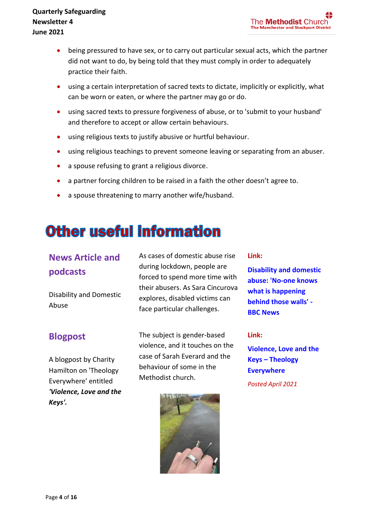- being pressured to have sex, or to carry out particular sexual acts, which the partner did not want to do, by being told that they must comply in order to adequately practice their faith.
- using a certain interpretation of sacred texts to dictate, implicitly or explicitly, what can be worn or eaten, or where the partner may go or do.
- using sacred texts to pressure forgiveness of abuse, or to 'submit to your husband' and therefore to accept or allow certain behaviours.
- using religious texts to justify abusive or hurtful behaviour.
- using religious teachings to prevent someone leaving or separating from an abuser.
- a spouse refusing to grant a religious divorce.
- a partner forcing children to be raised in a faith the other doesn't agree to.
- a spouse threatening to marry another wife/husband.

### **Other useful information**

### **News Article and podcasts**

Disability and Domestic Abuse

#### **Blogpost**

A blogpost by Charity Hamilton on 'Theology Everywhere' entitled *'Violence, Love and the Keys'.*

As cases of domestic abuse rise during lockdown, people are forced to spend more time with their abusers. As Sara Cincurova explores, disabled victims can face particular challenges.

The subject is gender-based violence, and it touches on the case of Sarah Everard and the behaviour of some in the Methodist church.



#### **Link:**

**Disability [and domestic](https://methodist-news.org.uk/BVI-7E5GC-V5UMIY-4GHMOS-1/c.aspx)  [abuse: 'No-one knows](https://methodist-news.org.uk/BVI-7E5GC-V5UMIY-4GHMOS-1/c.aspx)  [what is happening](https://methodist-news.org.uk/BVI-7E5GC-V5UMIY-4GHMOS-1/c.aspx)  [behind those walls' -](https://methodist-news.org.uk/BVI-7E5GC-V5UMIY-4GHMOS-1/c.aspx) [BBC News](https://methodist-news.org.uk/BVI-7E5GC-V5UMIY-4GHMOS-1/c.aspx)**

#### **Link:**

**[Violence, Love and the](https://theologyeverywhere.org/2021/04/12/violence-love-the-keys/)  Keys – [Theology](https://theologyeverywhere.org/2021/04/12/violence-love-the-keys/)  [Everywhere](https://theologyeverywhere.org/2021/04/12/violence-love-the-keys/)**

*Posted April 2021*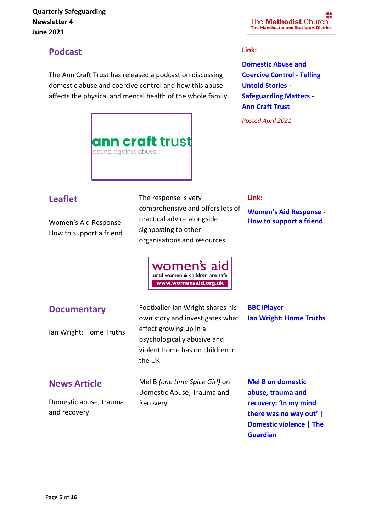#### Ï **Quarterly Safeguarding Newsletter 4 June 2021**

#### The **Methodist** Church **The Manchester and Stockport District**

### **Podcast**

The Ann Craft Trust has released a podcast on discussing domestic abuse and coercive control and how this abuse affects the physical and mental health of the whole family.

#### **Link:**

**[Domestic Abuse and](https://www.anncrafttrust.org/domestic-abuse-and-coercive-control-telling-untold-stories-safeguarding-matters/)  [Coercive Control -](https://www.anncrafttrust.org/domestic-abuse-and-coercive-control-telling-untold-stories-safeguarding-matters/) Telling [Untold Stories -](https://www.anncrafttrust.org/domestic-abuse-and-coercive-control-telling-untold-stories-safeguarding-matters/) [Safeguarding Matters -](https://www.anncrafttrust.org/domestic-abuse-and-coercive-control-telling-untold-stories-safeguarding-matters/) [Ann Craft Trust](https://www.anncrafttrust.org/domestic-abuse-and-coercive-control-telling-untold-stories-safeguarding-matters/)**

*Posted April 2021*



### **Leaflet**

Women's Aid Response - How to support a friend

The response is very comprehensive and offers lots of practical advice alongside signposting to other organisations and resources.

#### **Link:**

**[Women's Aid Response -](https://methodist-news.org.uk/BVI-7AXN5-V5UMIY-4E4CZ3-1/c.aspx)  [How to support a friend](https://methodist-news.org.uk/BVI-7AXN5-V5UMIY-4E4CZ3-1/c.aspx)**



#### **Documentary**

Ian Wright: Home Truths

**News Article**

Domestic abuse, trauma and recovery

Footballer Ian Wright shares his own story and investigates what effect growing up in a psychologically abusive and violent home has on children in the UK

Mel B *(one time Spice Girl)* on Domestic Abuse, Trauma and Recovery

**[Ian Wright: Home Truths](https://methodist-news.org.uk/BVI-7E5GC-V5UMIY-4GHMJ0-1/c.aspx)**

**[BBC iPlayer](https://methodist-news.org.uk/BVI-7E5GC-V5UMIY-4GHMJ0-1/c.aspx)**

**[Mel B on domestic](https://methodist-news.org.uk/BVI-7E5GC-V5UMIY-4GHMXF-1/c.aspx)  [abuse, trauma and](https://methodist-news.org.uk/BVI-7E5GC-V5UMIY-4GHMXF-1/c.aspx)  [recovery: 'In my mind](https://methodist-news.org.uk/BVI-7E5GC-V5UMIY-4GHMXF-1/c.aspx)  [there was no way](https://methodist-news.org.uk/BVI-7E5GC-V5UMIY-4GHMXF-1/c.aspx) out' | [Domestic violence | The](https://methodist-news.org.uk/BVI-7E5GC-V5UMIY-4GHMXF-1/c.aspx)  [Guardian](https://methodist-news.org.uk/BVI-7E5GC-V5UMIY-4GHMXF-1/c.aspx)**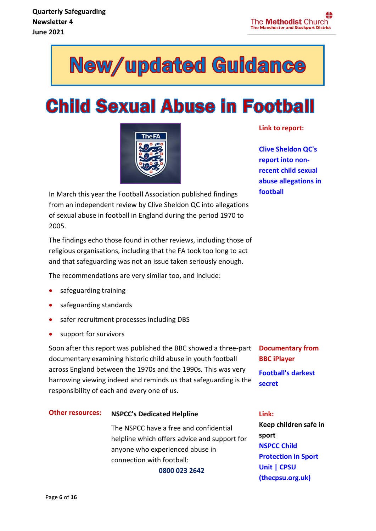

# **Child Sexual Abuse in Football**



**Link to report:**

**[Clive Sheldon QC's](http://email.nspcc.org.uk/c/1bZBKrHuxJZjFTsg7e6eUsYSag)  [report into non](http://email.nspcc.org.uk/c/1bZBKrHuxJZjFTsg7e6eUsYSag)[recent child sexual](http://email.nspcc.org.uk/c/1bZBKrHuxJZjFTsg7e6eUsYSag)  [abuse allegations in](http://email.nspcc.org.uk/c/1bZBKrHuxJZjFTsg7e6eUsYSag)  [football](http://email.nspcc.org.uk/c/1bZBKrHuxJZjFTsg7e6eUsYSag)**

In March this year the Football Association published findings from an independent review by Clive Sheldon QC into allegations of sexual abuse in football in England during the period 1970 to 2005.

The findings echo those found in other reviews, including those of religious organisations, including that the FA took too long to act and that safeguarding was not an issue taken seriously enough.

The recommendations are very similar too, and include:

- safeguarding training
- safeguarding standards
- safer recruitment processes including DBS
- support for survivors

Soon after this report was published the BBC showed a three-part documentary examining historic child abuse in youth football across England between the 1970s and the 1990s. This was very harrowing viewing indeed and reminds us that safeguarding is the responsibility of each and every one of us.

#### **Other resources: NSPCC's Dedicated Helpline**

The NSPCC have a free and confidential helpline which offers advice and support for anyone who experienced abuse in connection with football:

**0800 023 2642**

**Documentary from BBC iPlayer [Football's darkest](http://email.nspcc.org.uk/c/1bZBL9Ahlu28axesdJnyLrJD9P)** 

#### **Link:**

**[secret](http://email.nspcc.org.uk/c/1bZBL9Ahlu28axesdJnyLrJD9P)**

**Keep children safe in sport [NSPCC Child](https://thecpsu.org.uk/)  [Protection in Sport](https://thecpsu.org.uk/)  [Unit | CPSU](https://thecpsu.org.uk/)  [\(thecpsu.org.uk\)](https://thecpsu.org.uk/)**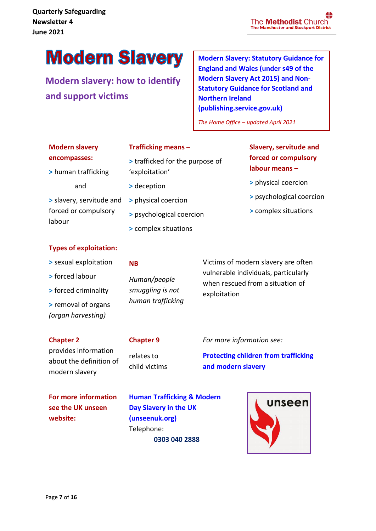# **Modern Slavery**

**Modern slavery: how to identify and support victims**

**[Modern Slavery: Statutory Guidance for](https://assets.publishing.service.gov.uk/government/uploads/system/uploads/attachment_data/file/974794/March_2021_-_Modern_Slavery_Statutory_Guidance__EW__Non-Statutory_Guidance__SNI__v2.1_.pdf)  [England and Wales \(under s49 of the](https://assets.publishing.service.gov.uk/government/uploads/system/uploads/attachment_data/file/974794/March_2021_-_Modern_Slavery_Statutory_Guidance__EW__Non-Statutory_Guidance__SNI__v2.1_.pdf)  [Modern Slavery Act 2015\) and Non-](https://assets.publishing.service.gov.uk/government/uploads/system/uploads/attachment_data/file/974794/March_2021_-_Modern_Slavery_Statutory_Guidance__EW__Non-Statutory_Guidance__SNI__v2.1_.pdf)[Statutory Guidance for Scotland and](https://assets.publishing.service.gov.uk/government/uploads/system/uploads/attachment_data/file/974794/March_2021_-_Modern_Slavery_Statutory_Guidance__EW__Non-Statutory_Guidance__SNI__v2.1_.pdf)  [Northern Ireland](https://assets.publishing.service.gov.uk/government/uploads/system/uploads/attachment_data/file/974794/March_2021_-_Modern_Slavery_Statutory_Guidance__EW__Non-Statutory_Guidance__SNI__v2.1_.pdf)  [\(publishing.service.gov.uk\)](https://assets.publishing.service.gov.uk/government/uploads/system/uploads/attachment_data/file/974794/March_2021_-_Modern_Slavery_Statutory_Guidance__EW__Non-Statutory_Guidance__SNI__v2.1_.pdf)**

*The Home Office – updated April 2021*

| <b>Modern slavery</b> |  |
|-----------------------|--|
| encompasses:          |  |

**>** human trafficking

and

#### **Trafficking means –**

- **>** trafficked for the purpose of 'exploitation'
- **>** deception

**NB**

**>** slavery, servitude and forced or compulsory labour

#### **Types of exploitation:**

#### **>** sexual exploitation

**>** forced labour

- **>** forced criminality
- **>** removal of organs *(organ harvesting)*

#### **Chapter 2**

#### **Chapter 9**

provides information about the definition of modern slavery

relates to

child victims

*For more information see:*

exploitation

**[Protecting children from trafficking](https://methodist-news.org.uk/BVI-7CJJX-V5UMIY-4FAKK5-1/c.aspx)  [and modern slavery](https://methodist-news.org.uk/BVI-7CJJX-V5UMIY-4FAKK5-1/c.aspx)**

Victims of modern slavery are often vulnerable individuals, particularly when rescued from a situation of

**For more information see the UK unseen website:**

**[Human Trafficking & Modern](https://www.unseenuk.org/)  [Day Slavery in the UK](https://www.unseenuk.org/)  [\(unseenuk.org\)](https://www.unseenuk.org/)** Telephone: **0303 040 2888**



- **>** physical coercion **>** psychological coercion
- **>** complex situations

*Human/people smuggling is not human trafficking*

### **Slavery, servitude and forced or compulsory labour means –**

- **>** physical coercion
- **>** psychological coercion
- **>** complex situations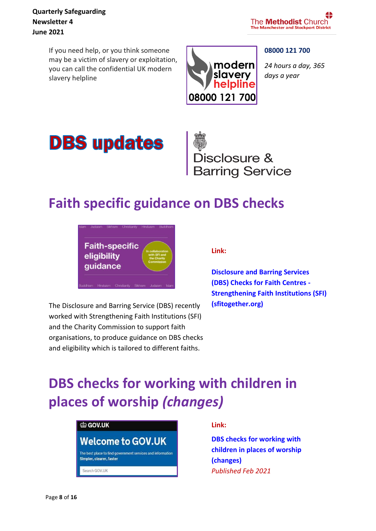If you need help, or you think someone may be a victim of slavery or exploitation, you can call the confidential UK modern slavery helpline



#### **08000 121 700**

*24 hours a day, 365 days a year*



Disclosure &<br>Barring Service

### **Faith specific guidance on DBS checks**



The Disclosure and Barring Service (DBS) recently worked with Strengthening Faith Institutions (SFI) and the Charity Commission to support faith organisations, to produce [guidance](https://methodist-news.org.uk/BVI-7E5GC-V5UMIY-4GFVR8-1/c.aspx) on DBS checks and eligibility which is tailored to different faiths.

#### **Link:**

**[Disclosure and Barring Services](https://www.sfitogether.org/dbs-checks-faith-centres/)  [\(DBS\) Checks for Faith Centres -](https://www.sfitogether.org/dbs-checks-faith-centres/) [Strengthening Faith Institutions \(SFI\)](https://www.sfitogether.org/dbs-checks-faith-centres/)  [\(sfitogether.org\)](https://www.sfitogether.org/dbs-checks-faith-centres/)**

### **DBS checks for working with children in places of worship** *(changes)*



**Link:**

**DBS checks for [working](https://methodist-news.org.uk/BVI-7AXN5-V5UMIY-4E411A-1/c.aspx) with [children](https://methodist-news.org.uk/BVI-7AXN5-V5UMIY-4E411A-1/c.aspx) in places of worship (changes)** *Published Feb 2021*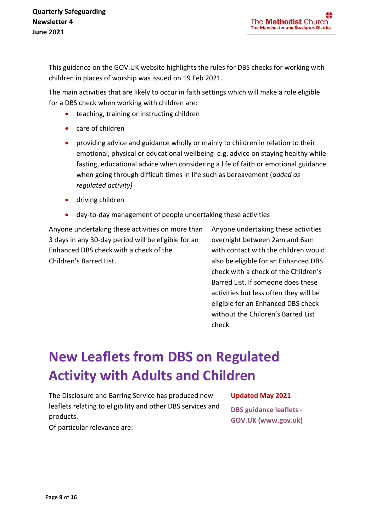This guidance on the GOV.UK website highlights the rules for DBS checks for working with children in places of worship was issued on 19 Feb 2021.

The main activities that are likely to occur in faith settings which will make a role eligible for a DBS check when working with children are:

- teaching, training or instructing children
- care of children
- providing advice and guidance wholly or mainly to children in relation to their emotional, physical or educational wellbeing e.g. advice on staying healthy while fasting, educational advice when considering a life of faith or emotional guidance when going through difficult times in life such as bereavement (*added as regulated activity)*
- driving children
- day-to-day management of people undertaking these activities

Anyone undertaking these activities on more than 3 days in any 30-day period will be eligible for an Enhanced DBS check with a check of the Children's Barred List.

Anyone undertaking these activities overnight between 2am and 6am with contact with the children would also be eligible for an Enhanced DBS check with a check of the Children's Barred List. If someone does these activities but less often they will be eligible for an Enhanced DBS check without the Children's Barred List check.

# **New Leaflets from DBS on Regulated Activity with Adults and Children**

The Disclosure and Barring Service has produced new leaflets relating to eligibility and other DBS services and products.

#### **Updated May 2021**

**[DBS guidance leaflets -](https://methodist-news.org.uk/BVI-7AXN5-V5UMIY-4E3YPO-1/c.aspx) [GOV.UK \(www.gov.uk\)](https://methodist-news.org.uk/BVI-7AXN5-V5UMIY-4E3YPO-1/c.aspx)**

Of particular relevance are: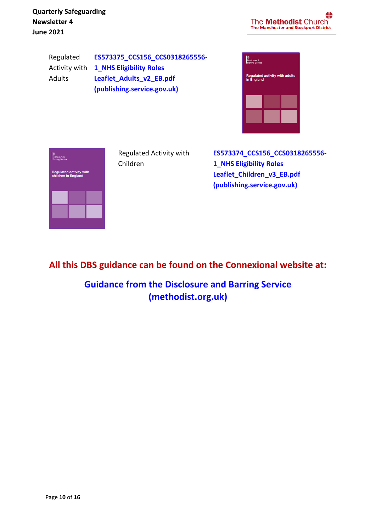Ï **Quarterly Safeguarding Newsletter 4 June 2021**

4 The **Methodist** Church **The Manchester and Stockport District** 

Regulated Adults

Activity with **[1\\_NHS Eligibility Roles](https://assets.publishing.service.gov.uk/government/uploads/system/uploads/attachment_data/file/739152/Regulated_Activity_with_Adults_in_England.pdf?utm_source=Methodist%20Church%20House&utm_medium=email&utm_campaign=12267473_Safeguarding%20Bulletin%20March%202021&dm_i=BVI,7AXN5,V5UMIY,TMEEG,1)  [ES573375\\_CCS156\\_CCS0318265556-](https://assets.publishing.service.gov.uk/government/uploads/system/uploads/attachment_data/file/739152/Regulated_Activity_with_Adults_in_England.pdf?utm_source=Methodist%20Church%20House&utm_medium=email&utm_campaign=12267473_Safeguarding%20Bulletin%20March%202021&dm_i=BVI,7AXN5,V5UMIY,TMEEG,1) [Leaflet\\_Adults\\_v2\\_EB.pdf](https://assets.publishing.service.gov.uk/government/uploads/system/uploads/attachment_data/file/739152/Regulated_Activity_with_Adults_in_England.pdf?utm_source=Methodist%20Church%20House&utm_medium=email&utm_campaign=12267473_Safeguarding%20Bulletin%20March%202021&dm_i=BVI,7AXN5,V5UMIY,TMEEG,1)  [\(publishing.service.gov.uk\)](https://assets.publishing.service.gov.uk/government/uploads/system/uploads/attachment_data/file/739152/Regulated_Activity_with_Adults_in_England.pdf?utm_source=Methodist%20Church%20House&utm_medium=email&utm_campaign=12267473_Safeguarding%20Bulletin%20March%202021&dm_i=BVI,7AXN5,V5UMIY,TMEEG,1)**

| Disclosure &<br><b>Barring Service</b>              |  |  |
|-----------------------------------------------------|--|--|
| <b>Regulated activity with adults</b><br>in England |  |  |
|                                                     |  |  |
|                                                     |  |  |
|                                                     |  |  |



Regulated Activity with Children

**[ES573374\\_CCS156\\_CCS0318265556-](https://assets.publishing.service.gov.uk/government/uploads/system/uploads/attachment_data/file/739154/Regulated_Activity_with_Children_in_England.pdf?utm_source=Methodist%20Church%20House&utm_medium=email&utm_campaign=12267473_Safeguarding%20Bulletin%20March%202021&dm_i=BVI,7AXN5,V5UMIY,TMEEG,1) [1\\_NHS Eligibility Roles](https://assets.publishing.service.gov.uk/government/uploads/system/uploads/attachment_data/file/739154/Regulated_Activity_with_Children_in_England.pdf?utm_source=Methodist%20Church%20House&utm_medium=email&utm_campaign=12267473_Safeguarding%20Bulletin%20March%202021&dm_i=BVI,7AXN5,V5UMIY,TMEEG,1) [Leaflet\\_Children\\_v3\\_EB.pdf](https://assets.publishing.service.gov.uk/government/uploads/system/uploads/attachment_data/file/739154/Regulated_Activity_with_Children_in_England.pdf?utm_source=Methodist%20Church%20House&utm_medium=email&utm_campaign=12267473_Safeguarding%20Bulletin%20March%202021&dm_i=BVI,7AXN5,V5UMIY,TMEEG,1)  [\(publishing.service.gov.uk\)](https://assets.publishing.service.gov.uk/government/uploads/system/uploads/attachment_data/file/739154/Regulated_Activity_with_Children_in_England.pdf?utm_source=Methodist%20Church%20House&utm_medium=email&utm_campaign=12267473_Safeguarding%20Bulletin%20March%202021&dm_i=BVI,7AXN5,V5UMIY,TMEEG,1)**

**All this DBS guidance can be found on the Connexional website at:**

**[Guidance from the Disclosure and Barring Service](https://www.methodist.org.uk/safeguarding/recruitment-dbspvg-forms-etc/guidance-from-the-disclosure-and-barring-service/?utm_source=Methodist%20Church%20House&utm_medium=email&utm_campaign=12342525_Safeguarding%20Newsletter%20April%202021&dm_i=BVI,7CJJX,V5UMIY,TTHZV,1)  [\(methodist.org.uk\)](https://www.methodist.org.uk/safeguarding/recruitment-dbspvg-forms-etc/guidance-from-the-disclosure-and-barring-service/?utm_source=Methodist%20Church%20House&utm_medium=email&utm_campaign=12342525_Safeguarding%20Newsletter%20April%202021&dm_i=BVI,7CJJX,V5UMIY,TTHZV,1)**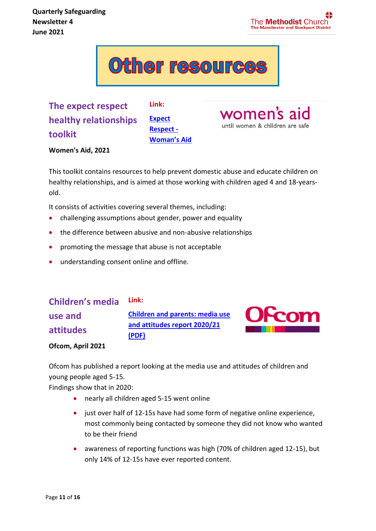# **Other resources**

**The expect respect healthy relationships toolkit**

**[Expect](https://www.womensaid.org.uk/what-we-do/education-and-public-awareness/expect-respect/)  [Respect -](https://www.womensaid.org.uk/what-we-do/education-and-public-awareness/expect-respect/) [Woman's](https://www.womensaid.org.uk/what-we-do/education-and-public-awareness/expect-respect/) Aid**

**Link:**

women's aid until women & children are safe

**Women's Aid, 2021**

This toolkit contains resources to help prevent domestic abuse and educate children on healthy relationships, and is aimed at those working with children aged 4 and 18-yearsold.

It consists of activities covering several themes, including:

- challenging assumptions about gender, power and equality
- the difference between abusive and non-abusive relationships
- promoting the message that abuse is not acceptable
- understanding consent online and offline.

#### **Children's media Link:**

**use and attitudes** **[Children and parents: media use](http://email.nspcc.org.uk/c/1cBZZxLkIsx52v98t2VOzUKNw3)  [and attitudes report 2020/21](http://email.nspcc.org.uk/c/1cBZZxLkIsx52v98t2VOzUKNw3)  [\(PDF\)](http://email.nspcc.org.uk/c/1cBZZxLkIsx52v98t2VOzUKNw3)**



**Ofcom, April 2021**

Ofcom has published a report looking at the media use and attitudes of children and young people aged 5-15.

Findings show that in 2020:

- nearly all children aged 5-15 went online
- just over half of 12-15s have had some form of negative online experience, most commonly being contacted by someone they did not know who wanted to be their friend
- awareness of reporting functions was high (70% of children aged 12-15), but only 14% of 12-15s have ever reported content.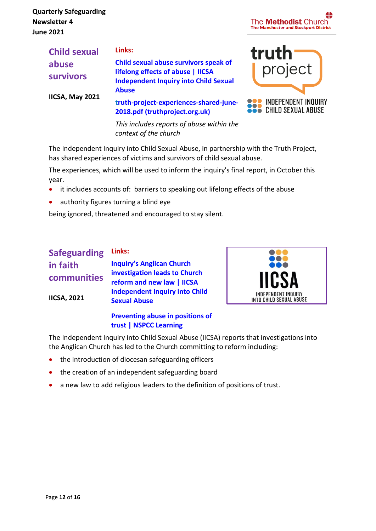| Æ<br>The <b>Methodist</b> Church<br>The Manchester and Stockport District |
|---------------------------------------------------------------------------|
|---------------------------------------------------------------------------|

project

**SOO INDEPENDENT INQUIRY**<br>CHILD SEXUAL ABUSE

truth

| <b>Child sexual</b> | Links:                                                                                            |
|---------------------|---------------------------------------------------------------------------------------------------|
| abuse               | Child sexual abuse survivors speak of                                                             |
| <b>survivors</b>    | lifelong effects of abuse   IICSA<br><b>Independent Inquiry into Child Sexual</b><br><b>Abuse</b> |
| IICSA, May 2021     | truth-project-experiences-shared-june-<br>2018.pdf (truthproject.org.uk)                          |

*This includes reports of abuse within the context of the church*

The Independent Inquiry into Child Sexual Abuse, in partnership with the Truth Project, has shared experiences of victims and survivors of child sexual abuse.

The experiences, which will be used to inform the inquiry's final report, in October this year.

- it includes accounts of: barriers to speaking out lifelong effects of the abuse
- authority figures turning a blind eye

being ignored, threatened and encouraged to stay silent.

#### **Safeguarding in faith communities IICSA, 2021 Links: [Inquiry's Anglican Church](https://www.iicsa.org.uk/news/inquirys-anglican-church-investigation-leads-church-reform-and-new-law)  [investigation leads to Church](https://www.iicsa.org.uk/news/inquirys-anglican-church-investigation-leads-church-reform-and-new-law)  [reform and new law | IICSA](https://www.iicsa.org.uk/news/inquirys-anglican-church-investigation-leads-church-reform-and-new-law)  [Independent Inquiry into Child](https://www.iicsa.org.uk/news/inquirys-anglican-church-investigation-leads-church-reform-and-new-law)  [Sexual Abuse](https://www.iicsa.org.uk/news/inquirys-anglican-church-investigation-leads-church-reform-and-new-law) [Preventing abuse in positions of](https://learning.nspcc.org.uk/research-resources/briefings/preventing-abuse-positions-of-trust)**



The Independent Inquiry into Child Sexual Abuse (IICSA) reports that investigations into the Anglican Church has led to the Church committing to reform including:

• the introduction of diocesan safeguarding officers

**[trust | NSPCC Learning](https://learning.nspcc.org.uk/research-resources/briefings/preventing-abuse-positions-of-trust)**

- the creation of an independent safeguarding board
- a new law to add religious leaders to the definition of positions of trust.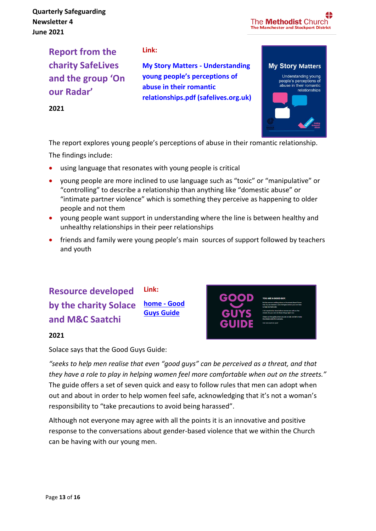Ï **Quarterly Safeguarding Newsletter 4 June 2021**

**2021**

The **Methodist** Church **The Manchester and Stockport District** 

**Report from the charity SafeLives and the group 'On our Radar'**

#### **Link:**

**[My Story Matters -](https://safelives.org.uk/sites/default/files/resources/My%20Story%20Matters%20-%20Understanding%20young%20peoples%20perceptions%20of%20abuse%20in%20their%20romantic%20relationships.pdf) Understanding young people's [perceptions of](https://safelives.org.uk/sites/default/files/resources/My%20Story%20Matters%20-%20Understanding%20young%20peoples%20perceptions%20of%20abuse%20in%20their%20romantic%20relationships.pdf)  [abuse in their romantic](https://safelives.org.uk/sites/default/files/resources/My%20Story%20Matters%20-%20Understanding%20young%20peoples%20perceptions%20of%20abuse%20in%20their%20romantic%20relationships.pdf)  [relationships.pdf \(safelives.org.uk\)](https://safelives.org.uk/sites/default/files/resources/My%20Story%20Matters%20-%20Understanding%20young%20peoples%20perceptions%20of%20abuse%20in%20their%20romantic%20relationships.pdf)**



The report explores young people's perceptions of abuse in their romantic relationship. The findings include:

- using language that resonates with young people is critical
- young people are more inclined to use language such as "toxic" or "manipulative" or "controlling" to describe a relationship than anything like "domestic abuse" or "intimate partner violence" which is something they perceive as happening to older people and not them
- young people want support in understanding where the line is between healthy and unhealthy relationships in their peer relationships
- friends and family were young people's main sources of support followed by teachers and youth

#### **Resource developed by the charity Solace and M&C Saatchi Link: [home -](https://goodguysguide.co.uk/) Good [Guys Guide](https://goodguysguide.co.uk/)**



#### **2021**

Solace says that the Good Guys Guide:

*"seeks to help men realise that even "good guys" can be perceived as a threat, and that they have a role to play in helping women feel more comfortable when out on the streets."* The guide offers a set of seven quick and easy to follow rules that men can adopt when out and about in order to help women feel safe, acknowledging that it's not a woman's responsibility to "take precautions to avoid being harassed".

Although not everyone may agree with all the points it is an innovative and positive response to the conversations about gender-based violence that we within the Church can be having with our young men.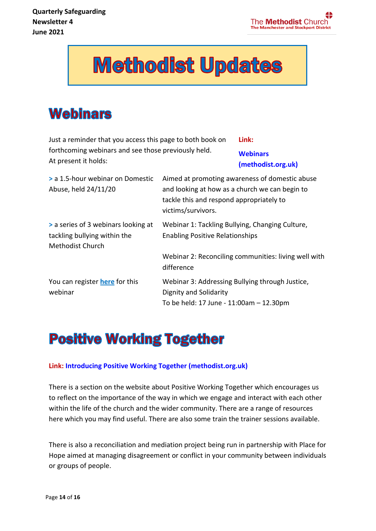# **Methodist Updates**

### **Webinars**

Just a reminder that you access this page to both book on forthcoming webinars and see those previously held. At present it holds:

**Link:**

**[Webinars](https://www.methodist.org.uk/safeguarding/webinars/)  [\(methodist.org.uk\)](https://www.methodist.org.uk/safeguarding/webinars/)**

| > a 1.5-hour webinar on Domestic<br>Abuse, held 24/11/20                                | Aimed at promoting awareness of domestic abuse<br>and looking at how as a church we can begin to<br>tackle this and respond appropriately to<br>victims/survivors. |
|-----------------------------------------------------------------------------------------|--------------------------------------------------------------------------------------------------------------------------------------------------------------------|
| > a series of 3 webinars looking at<br>tackling bullying within the<br>Methodist Church | Webinar 1: Tackling Bullying, Changing Culture,<br><b>Enabling Positive Relationships</b>                                                                          |
|                                                                                         | Webinar 2: Reconciling communities: living well with<br>difference                                                                                                 |
| You can register here for this<br>webinar                                               | Webinar 3: Addressing Bullying through Justice,<br>Dignity and Solidarity<br>To be held: 17 June - 11:00am - 12.30pm                                               |

### **Positive Working Together**

#### **Link: [Introducing Positive Working Together \(methodist.org.uk\)](https://www.methodist.org.uk/for-churches/guidance-for-churches/introducing-positive-working-together/)**

There is a section on the website about Positive Working Together which encourages us to reflect on the importance of the way in which we engage and interact with each other within the life of the church and the wider community. There are a range of resources here which you may find useful. There are also some train the trainer sessions available.

There is also a reconciliation and mediation project being run in partnership with Place for Hope aimed at managing disagreement or conflict in your community between individuals or groups of people.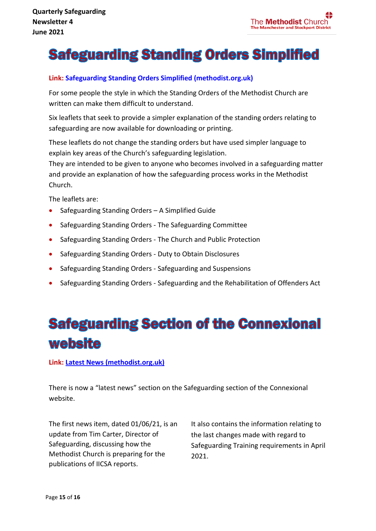### **Safeguarding Standing Orders Simplified**

#### **Link: [Safeguarding Standing Orders Simplified \(methodist.org.uk\)](https://methodist-news.org.uk/BVI-7CJJX-V5UMIY-4F9VZV-1/c.aspx)**

For some people the style in which the Standing Orders of the Methodist Church are written can make them difficult to understand.

Six leaflets that seek to provide a simpler explanation of the standing orders relating to safeguarding are now available for downloading or printing.

These leaflets do not change the standing orders but have used simpler language to explain key areas of the Church's safeguarding legislation.

They are intended to be given to anyone who becomes involved in a safeguarding matter and provide an explanation of how the safeguarding process works in the Methodist Church.

The leaflets are:

- Safeguarding Standing Orders A Simplified Guide
- Safeguarding Standing Orders The Safeguarding Committee
- Safeguarding Standing Orders The Church and Public Protection
- Safeguarding Standing Orders Duty to Obtain Disclosures
- Safeguarding Standing Orders Safeguarding and Suspensions
- Safeguarding Standing Orders Safeguarding and the Rehabilitation of Offenders Act

# **Safeguarding Section of the Connexional** website

**Link: [Latest News \(methodist.org.uk\)](https://www.methodist.org.uk/safeguarding/latest-news/)**

There is now a "latest news" section on the Safeguarding section of the Connexional website.

The first news item, dated 01/06/21, is an update from Tim Carter, Director of Safeguarding, discussing how the Methodist Church is preparing for the publications of IICSA reports.

It also contains the information relating to the last changes made with regard to Safeguarding Training requirements in April 2021.